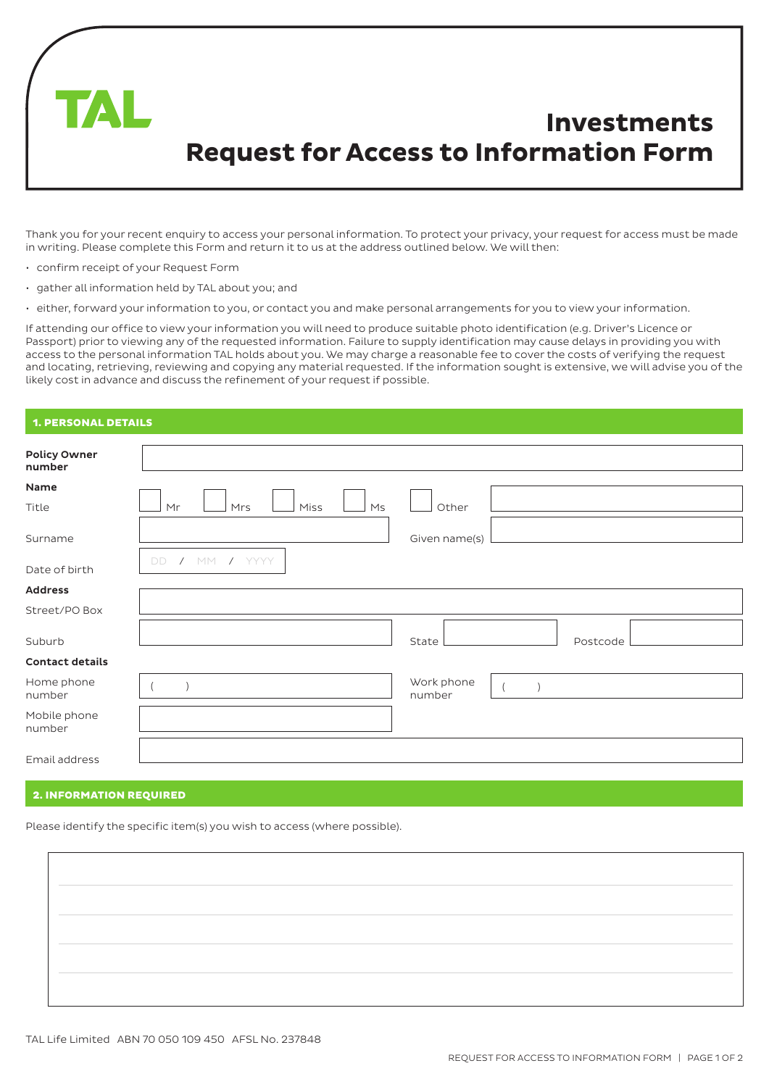

Thank you for your recent enquiry to access your personal information. To protect your privacy, your request for access must be made in writing. Please complete this Form and return it to us at the address outlined below. We will then:

- confirm receipt of your Request Form
- gather all information held by TAL about you; and
- either, forward your information to you, or contact you and make personal arrangements for you to view your information.

If attending our office to view your information you will need to produce suitable photo identification (e.g. Driver's Licence or Passport) prior to viewing any of the requested information. Failure to supply identification may cause delays in providing you with access to the personal information TAL holds about you. We may charge a reasonable fee to cover the costs of verifying the request and locating, retrieving, reviewing and copying any material requested. If the information sought is extensive, we will advise you of the likely cost in advance and discuss the refinement of your request if possible.

# 1. PERSONAL DETAILS

| <b>Policy Owner</b><br>number |                                     |                      |
|-------------------------------|-------------------------------------|----------------------|
| Name                          |                                     |                      |
| Title                         | Mr<br>Miss<br>M <sub>S</sub><br>Mrs | Other                |
|                               |                                     |                      |
| Surname                       |                                     | Given name(s)        |
| Date of birth                 | / MM / YYYY<br>DD.                  |                      |
| <b>Address</b>                |                                     |                      |
| Street/PO Box                 |                                     |                      |
| Suburb                        |                                     | State<br>Postcode    |
| <b>Contact details</b>        |                                     |                      |
| Home phone<br>number          |                                     | Work phone<br>number |
| Mobile phone<br>number        |                                     |                      |
| Email address                 |                                     |                      |

#### 2. INFORMATION REQUIRED

Please identify the specific item(s) you wish to access (where possible).